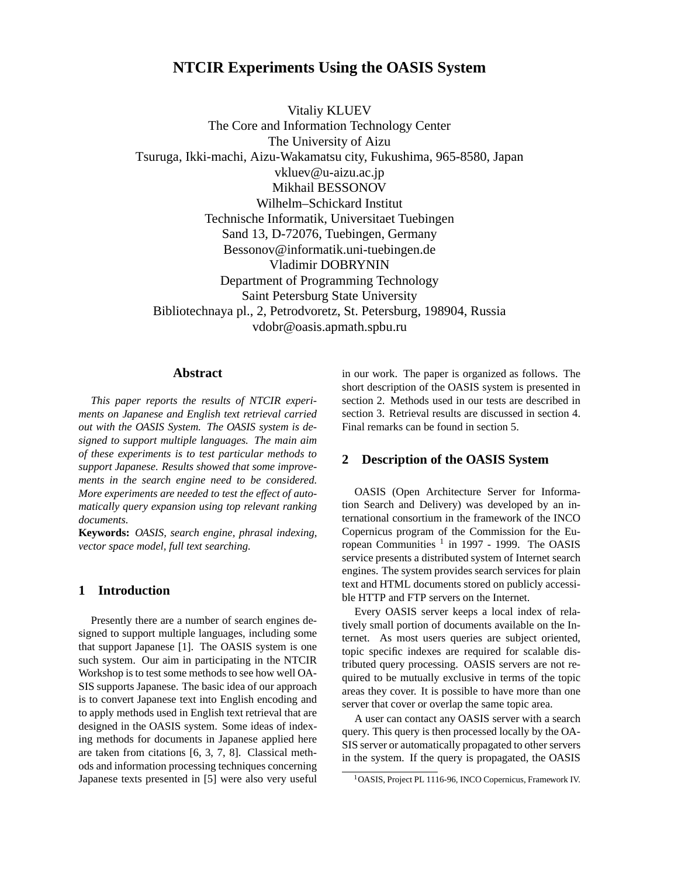# **NTCIR Experiments Using the OASIS System**

Vitaliy KLUEV The Core and Information Technology Center The University of Aizu Tsuruga, Ikki-machi, Aizu-Wakamatsu city, Fukushima, 965-8580, Japan vkluev@u-aizu.ac.jp Mikhail BESSONOV Wilhelm–Schickard Institut Technische Informatik, Universitaet Tuebingen Sand 13, D-72076, Tuebingen, Germany Bessonov@informatik.uni-tuebingen.de Vladimir DOBRYNIN Department of Programming Technology Saint Petersburg State University Bibliotechnaya pl., 2, Petrodvoretz, St. Petersburg, 198904, Russia vdobr@oasis.apmath.spbu.ru

## **Abstract**

*This paper reports the results of NTCIR experiments on Japanese and English text retrieval carried out with the OASIS System. The OASIS system is designed to support multiple languages. The main aim of these experiments is to test particular methods to support Japanese. Results showed that some improvements in the search engine need to be considered. More experiments are needed to test the effect of automatically query expansion using top relevant ranking documents.*

**Keywords:** *OASIS, search engine, phrasal indexing, vector space model, full text searching.*

# **1 Introduction**

Presently there are a number of search engines designed to support multiple languages, including some that support Japanese [1]. The OASIS system is one such system. Our aim in participating in the NTCIR Workshop is to test some methods to see how well OA-SIS supports Japanese. The basic idea of our approach is to convert Japanese text into English encoding and to apply methods used in English text retrieval that are designed in the OASIS system. Some ideas of indexing methods for documents in Japanese applied here are taken from citations [6, 3, 7, 8]. Classical methods and information processing techniques concerning Japanese texts presented in [5] were also very useful in our work. The paper is organized as follows. The short description of the OASIS system is presented in section 2. Methods used in our tests are described in section 3. Retrieval results are discussed in section 4. Final remarks can be found in section 5.

## **2 Description of the OASIS System**

OASIS (Open Architecture Server for Information Search and Delivery) was developed by an international consortium in the framework of the INCO Copernicus program of the Commission for the European Communities <sup>1</sup> in 1997 - 1999. The OASIS service presents a distributed system of Internet search engines. The system provides search services for plain text and HTML documents stored on publicly accessible HTTP and FTP servers on the Internet.

Every OASIS server keeps a local index of relatively small portion of documents available on the Internet. As most users queries are subject oriented, topic specific indexes are required for scalable distributed query processing. OASIS servers are not required to be mutually exclusive in terms of the topic areas they cover. It is possible to have more than one server that cover or overlap the same topic area.

A user can contact any OASIS server with a search query. This query is then processed locally by the OA-SIS server or automatically propagated to other servers in the system. If the query is propagated, the OASIS

<sup>1</sup>OASIS, Project PL 1116-96, INCO Copernicus, Framework IV.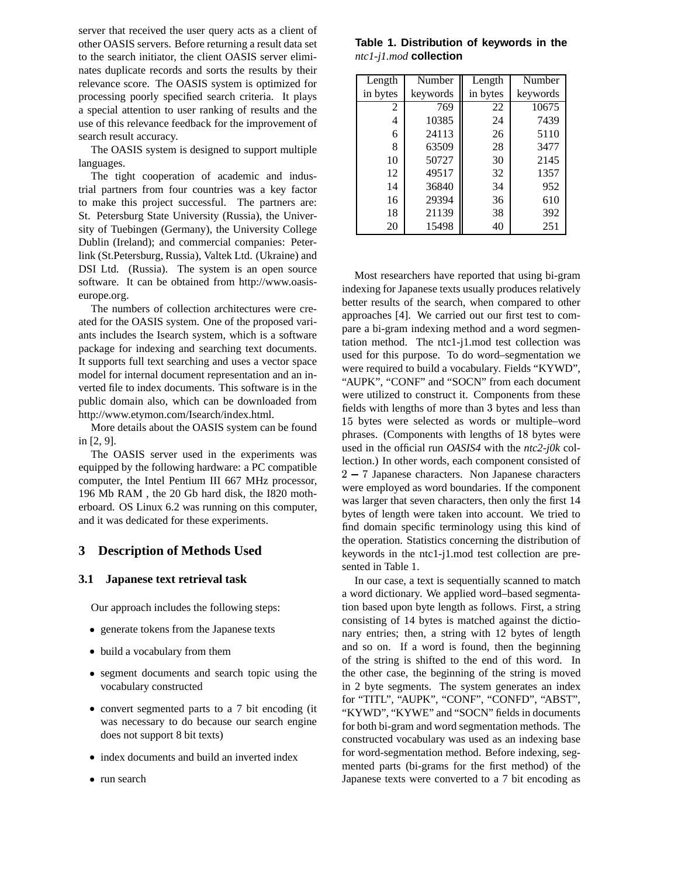server that received the user query acts as a client of other OASIS servers. Before returning a result data set to the search initiator, the client OASIS server eliminates duplicate records and sorts the results by their relevance score. The OASIS system is optimized for processing poorly specified search criteria. It plays a special attention to user ranking of results and the use of this relevance feedback for the improvement of search result accuracy.

The OASIS system is designed to support multiple languages.

The tight cooperation of academic and industrial partners from four countries was a key factor to make this project successful. The partners are: St. Petersburg State University (Russia), the University of Tuebingen (Germany), the University College Dublin (Ireland); and commercial companies: Peterlink (St.Petersburg, Russia), Valtek Ltd. (Ukraine) and DSI Ltd. (Russia). The system is an open source software. It can be obtained from http://www.oasiseurope.org.

The numbers of collection architectures were created for the OASIS system. One of the proposed variants includes the Isearch system, which is a software package for indexing and searching text documents. It supports full text searching and uses a vector space model for internal document representation and an inverted file to index documents. This software is in the public domain also, which can be downloaded from http://www.etymon.com/Isearch/index.html.

More details about the OASIS system can be found in [2, 9].

The OASIS server used in the experiments was equipped by the following hardware: a PC compatible computer, the Intel Pentium III 667 MHz processor, 196 Mb RAM , the 20 Gb hard disk, the I820 motherboard. OS Linux 6.2 was running on this computer, and it was dedicated for these experiments.

## **3 Description of Methods Used**

#### **3.1 Japanese text retrieval task**

Our approach includes the following steps:

- generate tokens from the Japanese texts
- build a vocabulary from them
- segment documents and search topic using the vocabulary constructed
- convert segmented parts to a 7 bit encoding (it was necessary to do because our search engine does not support 8 bit texts)
- index documents and build an inverted index
- run search

**Table 1. Distribution of keywords in the** *ntc1-j1.mod* **collection**

| Length   | Number   | Length   | Number   |
|----------|----------|----------|----------|
| in bytes | keywords | in bytes | keywords |
| 2        | 769      | 22       | 10675    |
| 4        | 10385    | 24       | 7439     |
| 6        | 24113    | 26       | 5110     |
| 8        | 63509    | 28       | 3477     |
| 10       | 50727    | 30       | 2145     |
| 12       | 49517    | 32       | 1357     |
| 14       | 36840    | 34       | 952      |
| 16       | 29394    | 36       | 610      |
| 18       | 21139    | 38       | 392      |
| 20       | 15498    | 40       | 251      |

Most researchers have reported that using bi-gram indexing for Japanese texts usually produces relatively better results of the search, when compared to other approaches [4]. We carried out our first test to compare a bi-gram indexing method and a word segmentation method. The ntc1-j1.mod test collection was used for this purpose. To do word–segmentation we were required to build a vocabulary. Fields "KYWD", "AUPK", "CONF" and "SOCN" from each document were utilized to construct it. Components from these fields with lengths of more than 3 bytes and less than 15 bytes were selected as words or multiple–word phrases. (Components with lengths of 18 bytes were used in the official run *OASIS4* with the *ntc2-j0k* collection.) In other words, each component consisted of 2 - 7 Japanese characters. Non Japanese characters were employed as word boundaries. If the component was larger that seven characters, then only the first 14 bytes of length were taken into account. We tried to find domain specific terminology using this kind of the operation. Statistics concerning the distribution of keywords in the ntc1-j1.mod test collection are presented in Table 1.

In our case, a text is sequentially scanned to match a word dictionary. We applied word–based segmentation based upon byte length as follows. First, a string consisting of 14 bytes is matched against the dictionary entries; then, a string with 12 bytes of length and so on. If a word is found, then the beginning of the string is shifted to the end of this word. In the other case, the beginning of the string is moved in 2 byte segments. The system generates an index for "TITL", "AUPK", "CONF", "CONFD", "ABST", "KYWD", "KYWE" and "SOCN" fields in documents for both bi-gram and word segmentation methods. The constructed vocabulary was used as an indexing base for word-segmentation method. Before indexing, segmented parts (bi-grams for the first method) of the Japanese texts were converted to a 7 bit encoding as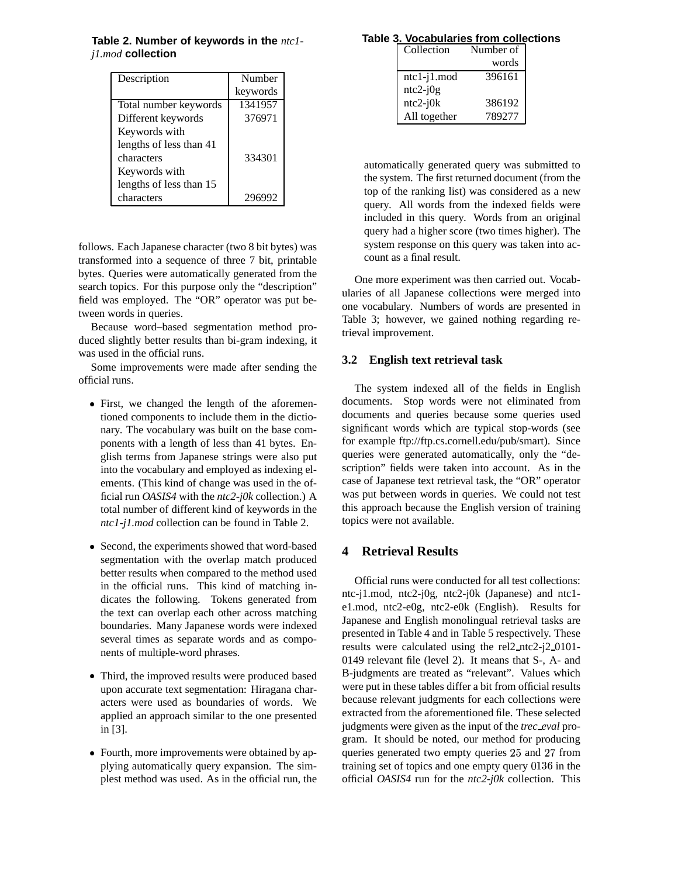| Description             | Number   |
|-------------------------|----------|
|                         | keywords |
| Total number keywords   | 1341957  |
| Different keywords      | 376971   |
| Keywords with           |          |
| lengths of less than 41 |          |
| characters              | 334301   |
| Keywords with           |          |
| lengths of less than 15 |          |
| characters              |          |

**Table 2. Number of keywords in the** *ntc1 j1.mod* **collection**

follows. Each Japanese character (two 8 bit bytes) was transformed into a sequence of three 7 bit, printable bytes. Queries were automatically generated from the search topics. For this purpose only the "description" field was employed. The "OR" operator was put between words in queries.

Because word–based segmentation method produced slightly better results than bi-gram indexing, it was used in the official runs.

Some improvements were made after sending the official runs.

- First, we changed the length of the aforementioned components to include them in the dictionary. The vocabulary was built on the base components with a length of less than 41 bytes. English terms from Japanese strings were also put into the vocabulary and employed as indexing elements. (This kind of change was used in the official run *OASIS4* with the *ntc2-j0k* collection.) A total number of different kind of keywords in the *ntc1-j1.mod* collection can be found in Table 2.
- Second, the experiments showed that word-based segmentation with the overlap match produced better results when compared to the method used in the official runs. This kind of matching indicates the following. Tokens generated from the text can overlap each other across matching boundaries. Many Japanese words were indexed several times as separate words and as components of multiple-word phrases.
- Third, the improved results were produced based upon accurate text segmentation: Hiragana characters were used as boundaries of words. We applied an approach similar to the one presented in [3].
- Fourth, more improvements were obtained by applying automatically query expansion. The simplest method was used. As in the official run, the

## **Table 3. Vocabularies from collections**

| Collection        | Number of |  |
|-------------------|-----------|--|
|                   | words     |  |
| $ntc1-j1$ . $mod$ | 396161    |  |
| $ntc2-j0g$        |           |  |
| $ntc2-j0k$        | 386192    |  |
| All together      | 789277    |  |

automatically generated query was submitted to the system. The first returned document (from the top of the ranking list) was considered as a new query. All words from the indexed fields were included in this query. Words from an original query had a higher score (two times higher). The system response on this query was taken into account as a final result.

One more experiment was then carried out. Vocabularies of all Japanese collections were merged into one vocabulary. Numbers of words are presented in Table 3; however, we gained nothing regarding retrieval improvement.

#### **3.2 English text retrieval task**

The system indexed all of the fields in English documents. Stop words were not eliminated from documents and queries because some queries used significant words which are typical stop-words (see for example ftp://ftp.cs.cornell.edu/pub/smart). Since queries were generated automatically, only the "description" fields were taken into account. As in the case of Japanese text retrieval task, the "OR" operator was put between words in queries. We could not test this approach because the English version of training topics were not available.

## **4 Retrieval Results**

Official runs were conducted for all test collections: ntc-j1.mod, ntc2-j0g, ntc2-j0k (Japanese) and ntc1 e1.mod, ntc2-e0g, ntc2-e0k (English). Results for Japanese and English monolingual retrieval tasks are presented in Table 4 and in Table 5 respectively. These results were calculated using the rel2 ntc2-j2 0101- 0149 relevant file (level 2). It means that S-, A- and B-judgments are treated as "relevant". Values which were put in these tables differ a bit from official results because relevant judgments for each collections were extracted from the aforementioned file. These selected judgments were given as the input of the *trec eval* program. It should be noted, our method for producing queries generated two empty queries 25 and 27 from training set of topics and one empty query 0136 in the official *OASIS4* run for the *ntc2-j0k* collection. This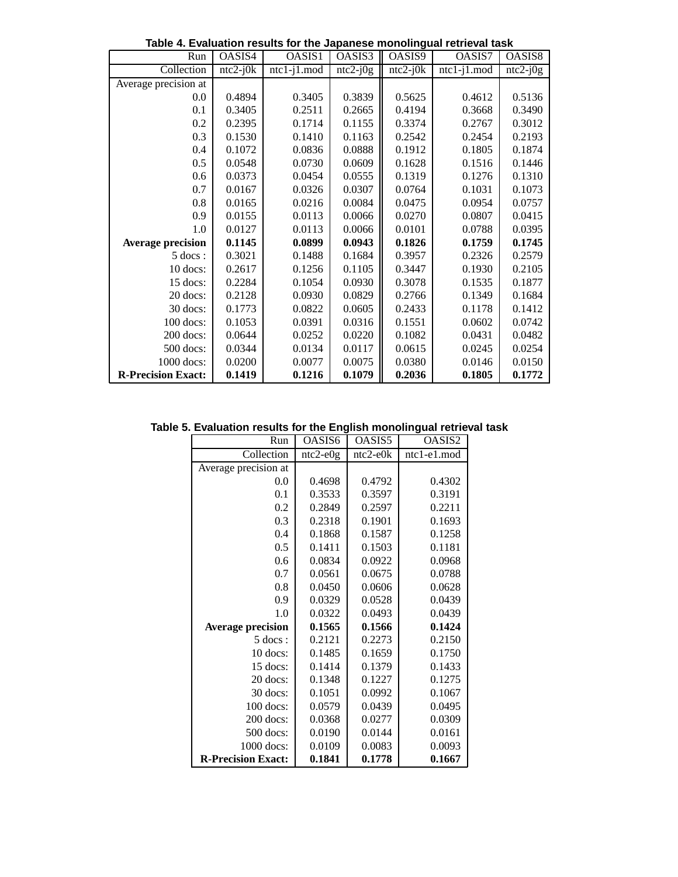| ranaanon rosants for the capanese monomigual retrieval task |            |                |            |            |                |            |
|-------------------------------------------------------------|------------|----------------|------------|------------|----------------|------------|
| Run                                                         | OASIS4     | OASIS1         | OASIS3     | OASIS9     | OASIS7         | OASIS8     |
| Collection                                                  | $ntc2-j0k$ | $ntc1-j1$ .mod | $ntc2-j0g$ | $ntc2-j0k$ | $ntc1-j1$ .mod | $ntc2-j0g$ |
| Average precision at                                        |            |                |            |            |                |            |
| 0.0                                                         | 0.4894     | 0.3405         | 0.3839     | 0.5625     | 0.4612         | 0.5136     |
| 0.1                                                         | 0.3405     | 0.2511         | 0.2665     | 0.4194     | 0.3668         | 0.3490     |
| 0.2                                                         | 0.2395     | 0.1714         | 0.1155     | 0.3374     | 0.2767         | 0.3012     |
| 0.3                                                         | 0.1530     | 0.1410         | 0.1163     | 0.2542     | 0.2454         | 0.2193     |
| 0.4                                                         | 0.1072     | 0.0836         | 0.0888     | 0.1912     | 0.1805         | 0.1874     |
| 0.5                                                         | 0.0548     | 0.0730         | 0.0609     | 0.1628     | 0.1516         | 0.1446     |
| 0.6                                                         | 0.0373     | 0.0454         | 0.0555     | 0.1319     | 0.1276         | 0.1310     |
| 0.7                                                         | 0.0167     | 0.0326         | 0.0307     | 0.0764     | 0.1031         | 0.1073     |
| 0.8                                                         | 0.0165     | 0.0216         | 0.0084     | 0.0475     | 0.0954         | 0.0757     |
| 0.9                                                         | 0.0155     | 0.0113         | 0.0066     | 0.0270     | 0.0807         | 0.0415     |
| 1.0                                                         | 0.0127     | 0.0113         | 0.0066     | 0.0101     | 0.0788         | 0.0395     |
| <b>Average precision</b>                                    | 0.1145     | 0.0899         | 0.0943     | 0.1826     | 0.1759         | 0.1745     |
| $5$ docs :                                                  | 0.3021     | 0.1488         | 0.1684     | 0.3957     | 0.2326         | 0.2579     |
| 10 docs:                                                    | 0.2617     | 0.1256         | 0.1105     | 0.3447     | 0.1930         | 0.2105     |
| 15 docs:                                                    | 0.2284     | 0.1054         | 0.0930     | 0.3078     | 0.1535         | 0.1877     |
| 20 docs:                                                    | 0.2128     | 0.0930         | 0.0829     | 0.2766     | 0.1349         | 0.1684     |
| 30 docs:                                                    | 0.1773     | 0.0822         | 0.0605     | 0.2433     | 0.1178         | 0.1412     |
| 100 docs:                                                   | 0.1053     | 0.0391         | 0.0316     | 0.1551     | 0.0602         | 0.0742     |
| $200$ docs:                                                 | 0.0644     | 0.0252         | 0.0220     | 0.1082     | 0.0431         | 0.0482     |
| $500$ docs:                                                 | 0.0344     | 0.0134         | 0.0117     | 0.0615     | 0.0245         | 0.0254     |
| $1000$ docs:                                                | 0.0200     | 0.0077         | 0.0075     | 0.0380     | 0.0146         | 0.0150     |
| <b>R-Precision Exact:</b>                                   | 0.1419     | 0.1216         | 0.1079     | 0.2036     | 0.1805         | 0.1772     |

**Table 4. Evaluation results for the Japanese monolingual retrieval task**

# **Table 5. Evaluation results for the English monolingual retrieval task**

| Run                       | OASIS6     | OASIS5     | OASIS2      |
|---------------------------|------------|------------|-------------|
| Collection                | $ntc2-e0g$ | $ntc2-e0k$ | ntc1-e1.mod |
| Average precision at      |            |            |             |
| 0.0                       | 0.4698     | 0.4792     | 0.4302      |
| 0.1                       | 0.3533     | 0.3597     | 0.3191      |
| 0.2                       | 0.2849     | 0.2597     | 0.2211      |
| 0.3                       | 0.2318     | 0.1901     | 0.1693      |
| 0.4                       | 0.1868     | 0.1587     | 0.1258      |
| 0.5                       | 0.1411     | 0.1503     | 0.1181      |
| 0.6                       | 0.0834     | 0.0922     | 0.0968      |
| 0.7                       | 0.0561     | 0.0675     | 0.0788      |
| 0.8                       | 0.0450     | 0.0606     | 0.0628      |
| 0.9                       | 0.0329     | 0.0528     | 0.0439      |
| 1.0                       | 0.0322     | 0.0493     | 0.0439      |
| <b>Average precision</b>  | 0.1565     | 0.1566     | 0.1424      |
| $5$ docs:                 | 0.2121     | 0.2273     | 0.2150      |
| $10$ docs:                | 0.1485     | 0.1659     | 0.1750      |
| 15 docs:                  | 0.1414     | 0.1379     | 0.1433      |
| 20 docs:                  | 0.1348     | 0.1227     | 0.1275      |
| 30 docs:                  | 0.1051     | 0.0992     | 0.1067      |
| $100$ docs:               | 0.0579     | 0.0439     | 0.0495      |
| $200$ docs:               | 0.0368     | 0.0277     | 0.0309      |
| $500$ docs:               | 0.0190     | 0.0144     | 0.0161      |
| 1000 docs:                | 0.0109     | 0.0083     | 0.0093      |
| <b>R-Precision Exact:</b> | 0.1841     | 0.1778     | 0.1667      |